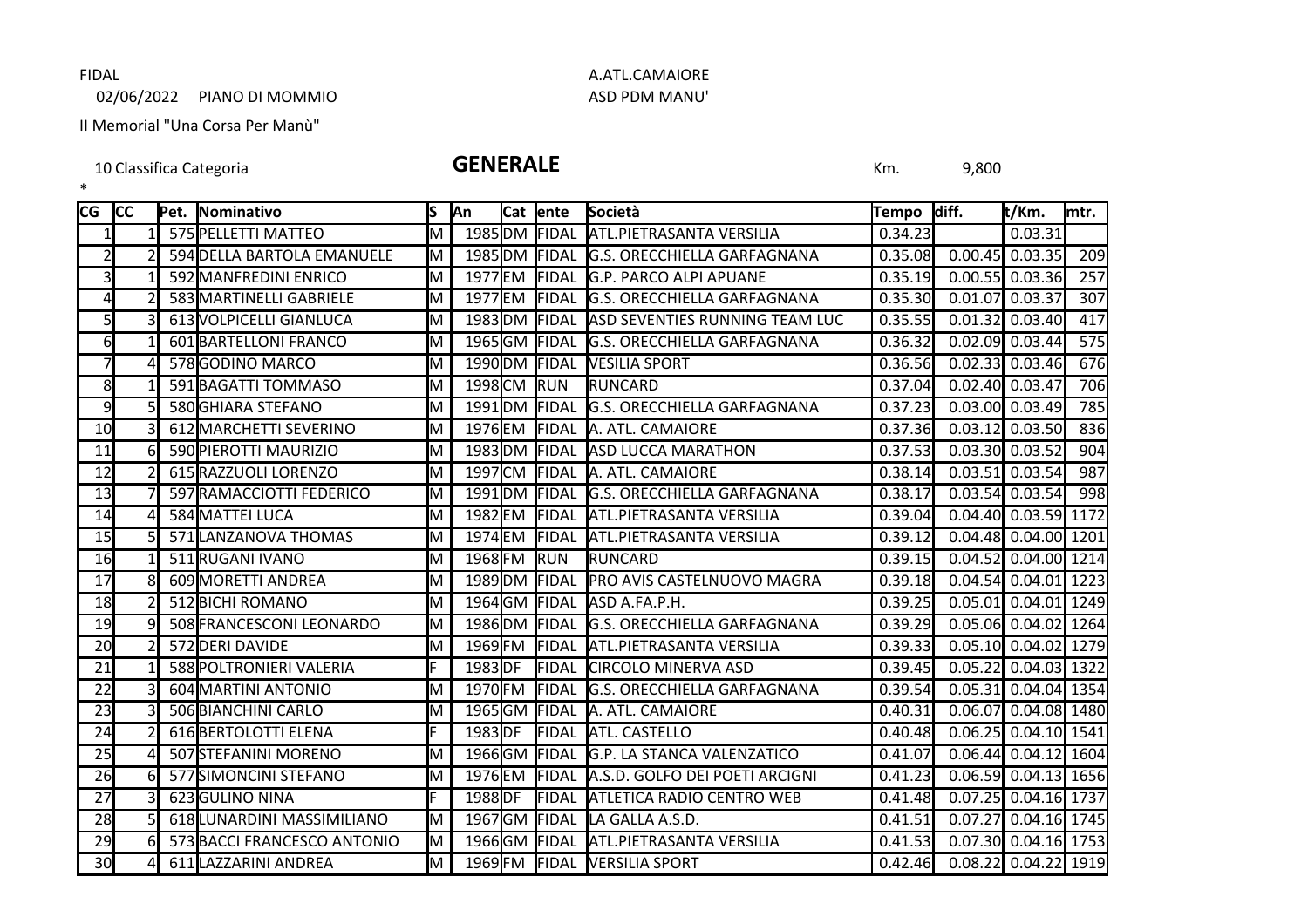02/06/2022 PIANO DI MOMMIO ASD PDM MANU'

# FIDAL A.ATL.CAMAIORE

II Memorial "Una Corsa Per Manù"

## Classifica Categoria **GENERALE** Km. 9,800

\*

| CG | <b>ICC</b>               | Pet. | Nominativo                  | ls | <b>JAn</b>         | <b>Cat lente</b> | <b>Società</b>                      | Tempo   | diff.   | t/Km.                        | lmtr. |
|----|--------------------------|------|-----------------------------|----|--------------------|------------------|-------------------------------------|---------|---------|------------------------------|-------|
|    |                          |      | 575 PELLETTI MATTEO         | M  |                    | 1985 DM FIDAL    | <b>ATL.PIETRASANTA VERSILIA</b>     | 0.34.23 |         | 0.03.31                      |       |
|    |                          |      | 594 DELLA BARTOLA EMANUELE  | M  |                    | 1985 DM FIDAL    | G.S. ORECCHIELLA GARFAGNANA         | 0.35.08 | 0.00.45 | 0.03.35                      | 209   |
| 3  |                          |      | 592 MANFREDINI ENRICO       | M  | 1977 EM            | <b>FIDAL</b>     | <b>IG.P. PARCO ALPI APUANE</b>      | 0.35.19 |         | $\overline{0.00.55}$ 0.03.36 | 257   |
| 4  |                          |      | 583 MARTINELLI GABRIELE     | M  | 1977EM             | <b>FIDAL</b>     | <b>IG.S. ORECCHIELLA GARFAGNANA</b> | 0.35.30 | 0.01.07 | 0.03.37                      | 307   |
| 5  | 3                        |      | 613 VOLPICELLI GIANLUCA     | M  |                    | 1983DM FIDAL     | ASD SEVENTIES RUNNING TEAM LUC      | 0.35.55 |         | $0.01.32$ 0.03.40            | 417   |
| 61 |                          |      | 601 BARTELLONI FRANCO       | M  |                    | 1965GM FIDAL     | <b>G.S. ORECCHIELLA GARFAGNANA</b>  | 0.36.32 | 0.02.09 | 0.03.44                      | 575   |
|    | 4                        |      | 578GODINO MARCO             | M  |                    | 1990 DM FIDAL    | <b>VESILIA SPORT</b>                | 0.36.56 | 0.02.33 | 0.03.46                      | 676   |
| 8  |                          |      | 591 BAGATTI TOMMASO         | M  | 1998CM             | <b>RUN</b>       | RUNCARD                             | 0.37.04 |         | $0.02.40$ 0.03.47            | 706   |
| 9  | 5                        |      | 580 GHIARA STEFANO          | M  |                    | 1991 DM FIDAL    | G.S. ORECCHIELLA GARFAGNANA         | 0.37.23 | 0.03.00 | 0.03.49                      | 785   |
| 10 | 3                        |      | 612 MARCHETTI SEVERINO      | M  | 1976EM             | FIDAL            | A. ATL. CAMAIORE                    | 0.37.36 |         | $0.03.12$ 0.03.50            | 836   |
| 11 | 6                        |      | 590 PIEROTTI MAURIZIO       | M  |                    | 1983 DM FIDAL    | <b>ASD LUCCA MARATHON</b>           | 0.37.53 |         | 0.03.30 0.03.52              | 904   |
| 12 |                          |      | 615 RAZZUOLI LORENZO        | M  | 1997 CM            | FIDAL            | A. ATL. CAMAIORE                    | 0.38.14 |         | $0.03.51$ 0.03.54            | 987   |
| 13 |                          |      | 597 RAMACCIOTTI FEDERICO    | M  |                    | 1991 DM FIDAL    | <b>G.S. ORECCHIELLA GARFAGNANA</b>  | 0.38.17 |         | $0.03.54$ 0.03.54            | 998   |
| 14 | 4                        |      | 584 MATTEI LUCA             | M  | 1982EM             | FIDAL            | <b>ATL.PIETRASANTA VERSILIA</b>     | 0.39.04 |         | 0.04.40 0.03.59 1172         |       |
| 15 | 5                        |      | 571 LANZANOVA THOMAS        | M  | 1974EM             | FIDAL            | <b>ATL.PIETRASANTA VERSILIA</b>     | 0.39.12 |         | $0.04.48$ 0.04.00            | 1201  |
| 16 |                          |      | 511 RUGANI IVANO            | M  | 1968FM             | RUN              | RUNCARD                             | 0.39.15 |         | $0.04.52$ 0.04.00            | 1214  |
| 17 | 8                        |      | 609 MORETTI ANDREA          | M  |                    | 1989DM FIDAL     | <b>PRO AVIS CASTELNUOVO MAGRA</b>   | 0.39.18 | 0.04.54 | $0.04.01$ 1223               |       |
| 18 |                          |      | 512 BICHI ROMANO            | M  |                    | 1964GM FIDAL     | ASD A.FA.P.H.                       | 0.39.25 |         | $0.05.01$ 0.04.01 1249       |       |
| 19 | 9                        |      | 508 FRANCESCONI LEONARDO    | M  |                    | 1986DM FIDAL     | <b>G.S. ORECCHIELLA GARFAGNANA</b>  | 0.39.29 | 0.05.06 | $0.04.02$ 1264               |       |
| 20 | $\overline{\phantom{a}}$ |      | 572 DERI DAVIDE             | M  | 1969FM             | FIDAL            | <b>ATL.PIETRASANTA VERSILIA</b>     | 0.39.33 | 0.05.10 | 0.04.02 1279                 |       |
| 21 |                          |      | 588 POLTRONIERI VALERIA     | F  | 1983 <sub>DF</sub> | FIDAL            | <b>CIRCOLO MINERVA ASD</b>          | 0.39.45 |         | 0.05.22 0.04.03 1322         |       |
| 22 | 3                        |      | 604 MARTINI ANTONIO         | M  | 1970FM             | FIDAL            | G.S. ORECCHIELLA GARFAGNANA         | 0.39.54 |         | 0.05.31 0.04.04 1354         |       |
| 23 | 3                        |      | 506 BIANCHINI CARLO         | lм |                    | 1965GM FIDAL     | A. ATL. CAMAIORE                    | 0.40.31 |         | 0.06.07 0.04.08 1480         |       |
| 24 |                          |      | 616BERTOLOTTI ELENA         | F  | 1983 DF            | <b>FIDAL</b>     | <b>ATL. CASTELLO</b>                | 0.40.48 | 0.06.25 | $0.04.10$ 1541               |       |
| 25 | 4                        |      | 507STEFANINI MORENO         | M  |                    | 1966GM FIDAL     | G.P. LA STANCA VALENZATICO          | 0.41.07 | 0.06.44 | $0.04.12$ 1604               |       |
| 26 | 6                        |      | 577 SIMONCINI STEFANO       | M  | 1976EM             | FIDAL            | A.S.D. GOLFO DEI POETI ARCIGNI      | 0.41.23 |         | $0.06.59$ 0.04.13 1656       |       |
| 27 | 3                        |      | 623 GULINO NINA             | F  | 1988 DF            | FIDAL            | <b>ATLETICA RADIO CENTRO WEB</b>    | 0.41.48 | 0.07.25 | $0.04.16$ 1737               |       |
| 28 | 5                        |      | 618LUNARDINI MASSIMILIANO   | M  |                    | 1967GM FIDAL     | LA GALLA A.S.D.                     | 0.41.51 | 0.07.27 | $0.04.16$ 1745               |       |
| 29 | 6                        |      | 573 BACCI FRANCESCO ANTONIO | M  |                    | 1966GM FIDAL     | <b>ATL.PIETRASANTA VERSILIA</b>     | 0.41.53 | 0.07.30 | $0.04.16$ 1753               |       |
| 30 | 4                        |      | 611 LAZZARINI ANDREA        | M  |                    |                  | 1969 FM FIDAL VERSILIA SPORT        | 0.42.46 |         | 0.08.22 0.04.22 1919         |       |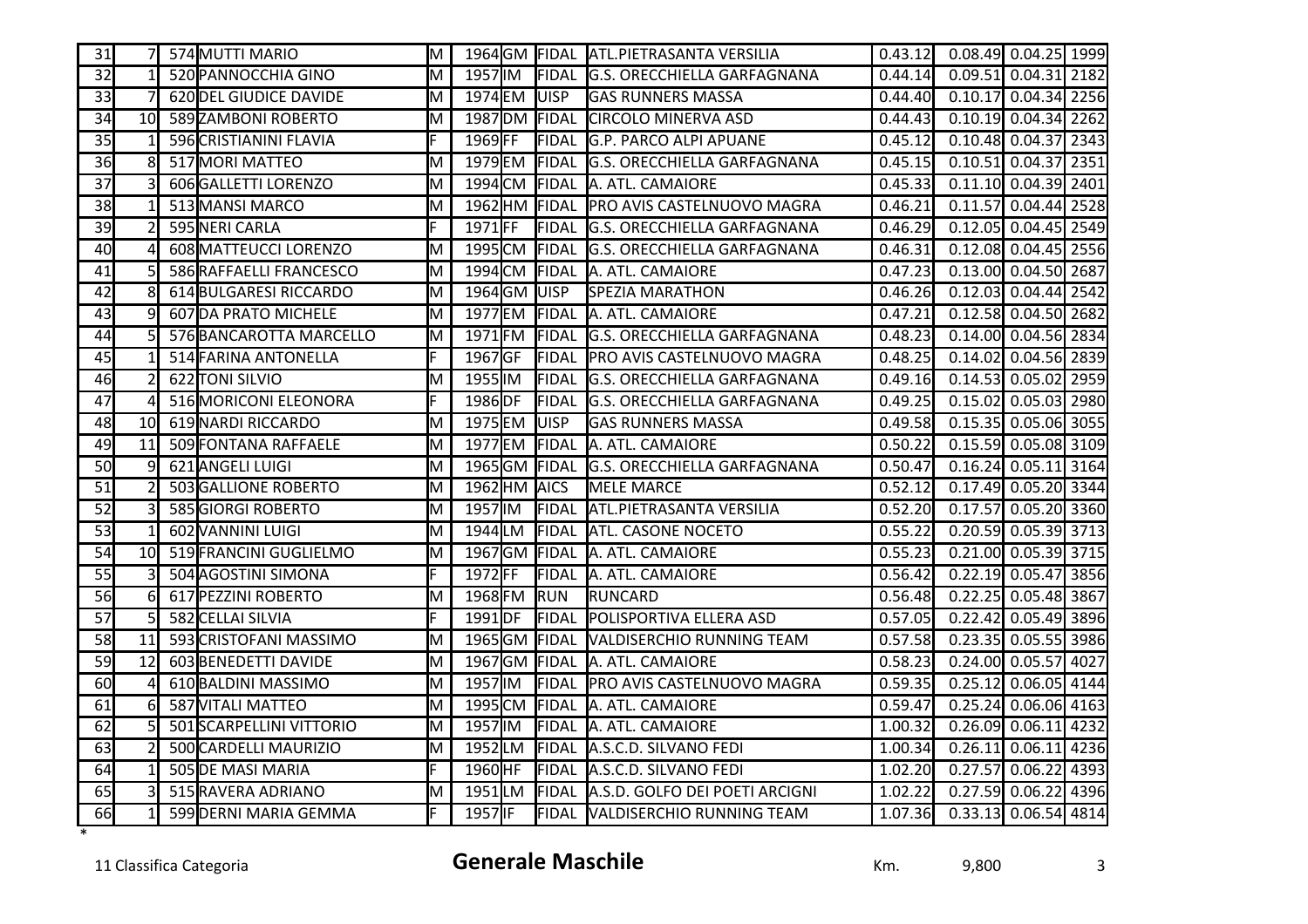| $\overline{32}$<br>M<br>1957 IM<br>0.09.51 0.04.31 2182<br>1 <sup>1</sup><br>520 PANNOCCHIA GINO<br><b>IFIDAL</b><br><b>G.S. ORECCHIELLA GARFAGNANA</b><br>0.44.14<br>33<br>M<br>1974 EM<br><b>UISP</b><br>0.10.17 0.04.34 2256<br>620 DEL GIUDICE DAVIDE<br><b>GAS RUNNERS MASSA</b><br>0.44.40<br>34<br>$0.10.19$ 0.04.34 2262<br>589 ZAMBONI ROBERTO<br>м<br>1987 <sub>DM</sub><br>FIDAL<br><b>CIRCOLO MINERVA ASD</b><br>10I<br>0.44.43<br>35<br>F<br>1969FF<br>0.10.48 0.04.37 2343<br>1 <sup>1</sup><br>596 CRISTIANINI FLAVIA<br>FIDAL<br>G.P. PARCO ALPI APUANE<br>0.45.12<br>36<br>0.10.51 0.04.37 2351<br>8<br>517 MORI MATTEO<br>M<br>1979EM<br><b>IFIDAL</b><br>G.S. ORECCHIELLA GARFAGNANA<br>0.45.15<br>37<br>M<br>$0.11.10$ 0.04.39 2401<br>606GALLETTI LORENZO<br>1994 CM<br>FIDAL<br>A. ATL. CAMAIORE<br>0.45.33<br>31<br>38<br>M<br>1962 HM<br><b>PRO AVIS CASTELNUOVO MAGRA</b><br>$0.04.44$ 2528<br>513 MANSI MARCO<br><b>FIDAL</b><br>0.46.21<br>0.11.57<br>39<br>595 NERI CARLA<br>F<br>1971FF<br><b>G.S. ORECCHIELLA GARFAGNANA</b><br>0.12.05<br>$0.04.45$ 2549<br>IFIDAL<br>0.46.29<br>40<br>608 MATTEUCCI LORENZO<br>lм<br>1995 CM<br>0.12.08 0.04.45 2556<br>4<br>FIDAL<br>G.S. ORECCHIELLA GARFAGNANA<br>0.46.31<br>lм<br>1994 CM<br>0.13.00 0.04.50 2687<br>41<br>5 <sub>l</sub><br>586 RAFFAELLI FRANCESCO<br>FIDAL<br>A. ATL. CAMAIORE<br>0.47.23<br>42<br>8<br>614 BULGARESI RICCARDO<br>lм<br>1964GM<br><b>UISP</b><br>SPEZIA MARATHON<br>$0.12.03$ 0.04.44 2542<br>0.46.26<br>43<br>lм<br>1977EM<br>0.12.58 0.04.50 2682<br>9<br>607 DA PRATO MICHELE<br>FIDAL<br>A. ATL. CAMAIORE<br>0.47.21<br>5 <sup>1</sup><br>44<br>lм<br>0.14.00 0.04.56 2834<br>576 BANCAROTTA MARCELLO<br>1971 FM<br><b>IFIDAL</b><br><b>G.S. ORECCHIELLA GARFAGNANA</b><br>0.48.23<br>F<br>45<br>0.14.02 0.04.56 2839<br>$1\vert$<br>514 FARINA ANTONELLA<br>1967GF<br>FIDAL<br><b>PRO AVIS CASTELNUOVO MAGRA</b><br>0.48.25<br>46<br>2<br>622 TONI SILVIO<br>lм<br>1955 IM<br>$0.14.53$ 0.05.02<br><b>IFIDAL</b><br>IG.S. ORECCHIELLA GARFAGNANA<br>0.49.16<br>47<br>F<br>1986 DF<br>0.15.02 0.05.03 2980<br>516 MORICONI ELEONORA<br>FIDAL<br>G.S. ORECCHIELLA GARFAGNANA<br>0.49.25<br>4<br>48<br>lм<br><b>UISP</b><br>0.15.35 0.05.06 3055<br>10 <sup>l</sup><br>619 NARDI RICCARDO<br>1975 EM<br><b>GAS RUNNERS MASSA</b><br>0.49.58<br>49<br>509 FONTANA RAFFAELE<br>lм<br>1977EM<br>FIDAL<br>A. ATL. CAMAIORE<br>0.15.59 0.05.08 3109<br>11<br>0.50.22<br>50<br>$0.16.24$ 0.05.11 3164<br>9<br>621 ANGELI LUIGI<br>M<br>1965GM<br><b>IFIDAL</b><br>G.S. ORECCHIELLA GARFAGNANA<br>0.50.47<br>$\overline{51}$<br>503 GALLIONE ROBERTO<br>M<br>1962 HM<br><b>AICS</b><br>MELE MARCE<br>0.17.49 0.05.20 3344<br>0.52.12<br>52<br>3<br>1957 IM<br>0.17.57<br>$0.05.20$ 3360<br>585 GIORGI ROBERTO<br>M<br><b>FIDAL</b><br><b>ATL.PIETRASANTA VERSILIA</b><br>0.52.20<br>53<br>0.20.59 0.05.39 3713<br>602 VANNINI LUIGI<br>M<br>1944LM<br>FIDAL<br><b>ATL. CASONE NOCETO</b><br>0.55.22<br>$0.05.39$ 3715<br>54<br>519 FRANCINI GUGLIELMO<br>M<br>1967GM<br><b>FIDAL</b><br>A. ATL. CAMAIORE<br>0.55.23<br>0.21.00<br>10I<br>55<br>1972FF<br>F.<br>A. ATL. CAMAIORE<br>0.22.19<br>0.05.47<br>3<br>504 AGOSTINI SIMONA<br>FIDAL<br>0.56.42<br>56<br>61<br>617 PEZZINI ROBERTO<br>м<br>1968 FM<br>IRUN<br>IRUNCARD<br>0.56.48<br>0.22.25<br>0.05.48<br>57<br>5 <sup>1</sup><br>582 CELLAI SILVIA<br>1991 <b>IDF</b><br><b>FIDAL</b><br><b>POLISPORTIVA ELLERA ASD</b><br>0.57.05<br>$0.22.42$ 0.05.49<br>58<br>1965GM<br>0.23.35 0.05.55 3986<br>11<br>593 CRISTOFANI MASSIMO<br>M<br>IFIDAL<br><b>IVALDISERCHIO RUNNING TEAM</b><br>0.57.58<br>59<br>603 BENEDETTI DAVIDE<br>M<br>1967GM<br>A. ATL. CAMAIORE<br>0.24.00 0.05.57 4027<br>12<br><b>FIDAL</b><br>0.58.23<br>60<br>M<br>1957IM<br><b>PRO AVIS CASTELNUOVO MAGRA</b><br>$\overline{4}$<br>610 BALDINI MASSIMO<br>FIDAL<br>0.59.35<br>0.25.12<br>$0.06.05$ 4144<br>M<br>61<br>$6 \mid$<br>587 VITALI MATTEO<br>1995CM<br>$0.06.06$ 4163<br><b>IFIDAL</b><br>A. ATL. CAMAIORE<br>0.59.47<br>0.25.24<br>62<br>5<br>M<br>1957 IM<br>501 SCARPELLINI VITTORIO<br>FIDAL<br>A. ATL. CAMAIORE<br>0.26.09<br>0.06.11<br>1.00.32<br>63<br>500 CARDELLI MAURIZIO<br>M<br>1952LM<br>A.S.C.D. SILVANO FEDI<br>0.26.11<br>0.06.11<br>FIDAL<br>1.00.34<br>F.<br>1960 HF<br>FIDAL A.S.C.D. SILVANO FEDI<br>64<br>505 DE MASI MARIA<br>1.02.20<br>0.27.57<br>0.06.22<br>$\mathbf{1}$<br>1951LM<br>65<br>3<br>515 RAVERA ADRIANO<br>M<br>FIDAL<br>A.S.D. GOLFO DEI POETI ARCIGNI<br>1.02.22<br>0.27.59<br>0.06.22 | 31 | 71 | 574 MUTTI MARIO | M |  | 1964 GM FIDAL ATL.PIETRASANTA VERSILIA | 0.43.12 | $0.08.49$ 0.04.25 1999 |      |
|-------------------------------------------------------------------------------------------------------------------------------------------------------------------------------------------------------------------------------------------------------------------------------------------------------------------------------------------------------------------------------------------------------------------------------------------------------------------------------------------------------------------------------------------------------------------------------------------------------------------------------------------------------------------------------------------------------------------------------------------------------------------------------------------------------------------------------------------------------------------------------------------------------------------------------------------------------------------------------------------------------------------------------------------------------------------------------------------------------------------------------------------------------------------------------------------------------------------------------------------------------------------------------------------------------------------------------------------------------------------------------------------------------------------------------------------------------------------------------------------------------------------------------------------------------------------------------------------------------------------------------------------------------------------------------------------------------------------------------------------------------------------------------------------------------------------------------------------------------------------------------------------------------------------------------------------------------------------------------------------------------------------------------------------------------------------------------------------------------------------------------------------------------------------------------------------------------------------------------------------------------------------------------------------------------------------------------------------------------------------------------------------------------------------------------------------------------------------------------------------------------------------------------------------------------------------------------------------------------------------------------------------------------------------------------------------------------------------------------------------------------------------------------------------------------------------------------------------------------------------------------------------------------------------------------------------------------------------------------------------------------------------------------------------------------------------------------------------------------------------------------------------------------------------------------------------------------------------------------------------------------------------------------------------------------------------------------------------------------------------------------------------------------------------------------------------------------------------------------------------------------------------------------------------------------------------------------------------------------------------------------------------------------------------------------------------------------------------------------------------------------------------------------------------------------------------------------------------------------------------------------------------------------------------------------------------------------------------------------------------------------------------------------------------------------------------------------------------------------------------------------------------------------------------------------------------------------------------------------------------------------------------------------------------------------------------------------------------------------------------------------------------------------------------------------------------------------------------------------------------------------------------------------------------------------------------------|----|----|-----------------|---|--|----------------------------------------|---------|------------------------|------|
|                                                                                                                                                                                                                                                                                                                                                                                                                                                                                                                                                                                                                                                                                                                                                                                                                                                                                                                                                                                                                                                                                                                                                                                                                                                                                                                                                                                                                                                                                                                                                                                                                                                                                                                                                                                                                                                                                                                                                                                                                                                                                                                                                                                                                                                                                                                                                                                                                                                                                                                                                                                                                                                                                                                                                                                                                                                                                                                                                                                                                                                                                                                                                                                                                                                                                                                                                                                                                                                                                                                                                                                                                                                                                                                                                                                                                                                                                                                                                                                                                                                                                                                                                                                                                                                                                                                                                                                                                                                                                                                                                                         |    |    |                 |   |  |                                        |         |                        |      |
|                                                                                                                                                                                                                                                                                                                                                                                                                                                                                                                                                                                                                                                                                                                                                                                                                                                                                                                                                                                                                                                                                                                                                                                                                                                                                                                                                                                                                                                                                                                                                                                                                                                                                                                                                                                                                                                                                                                                                                                                                                                                                                                                                                                                                                                                                                                                                                                                                                                                                                                                                                                                                                                                                                                                                                                                                                                                                                                                                                                                                                                                                                                                                                                                                                                                                                                                                                                                                                                                                                                                                                                                                                                                                                                                                                                                                                                                                                                                                                                                                                                                                                                                                                                                                                                                                                                                                                                                                                                                                                                                                                         |    |    |                 |   |  |                                        |         |                        |      |
|                                                                                                                                                                                                                                                                                                                                                                                                                                                                                                                                                                                                                                                                                                                                                                                                                                                                                                                                                                                                                                                                                                                                                                                                                                                                                                                                                                                                                                                                                                                                                                                                                                                                                                                                                                                                                                                                                                                                                                                                                                                                                                                                                                                                                                                                                                                                                                                                                                                                                                                                                                                                                                                                                                                                                                                                                                                                                                                                                                                                                                                                                                                                                                                                                                                                                                                                                                                                                                                                                                                                                                                                                                                                                                                                                                                                                                                                                                                                                                                                                                                                                                                                                                                                                                                                                                                                                                                                                                                                                                                                                                         |    |    |                 |   |  |                                        |         |                        |      |
|                                                                                                                                                                                                                                                                                                                                                                                                                                                                                                                                                                                                                                                                                                                                                                                                                                                                                                                                                                                                                                                                                                                                                                                                                                                                                                                                                                                                                                                                                                                                                                                                                                                                                                                                                                                                                                                                                                                                                                                                                                                                                                                                                                                                                                                                                                                                                                                                                                                                                                                                                                                                                                                                                                                                                                                                                                                                                                                                                                                                                                                                                                                                                                                                                                                                                                                                                                                                                                                                                                                                                                                                                                                                                                                                                                                                                                                                                                                                                                                                                                                                                                                                                                                                                                                                                                                                                                                                                                                                                                                                                                         |    |    |                 |   |  |                                        |         |                        |      |
|                                                                                                                                                                                                                                                                                                                                                                                                                                                                                                                                                                                                                                                                                                                                                                                                                                                                                                                                                                                                                                                                                                                                                                                                                                                                                                                                                                                                                                                                                                                                                                                                                                                                                                                                                                                                                                                                                                                                                                                                                                                                                                                                                                                                                                                                                                                                                                                                                                                                                                                                                                                                                                                                                                                                                                                                                                                                                                                                                                                                                                                                                                                                                                                                                                                                                                                                                                                                                                                                                                                                                                                                                                                                                                                                                                                                                                                                                                                                                                                                                                                                                                                                                                                                                                                                                                                                                                                                                                                                                                                                                                         |    |    |                 |   |  |                                        |         |                        |      |
|                                                                                                                                                                                                                                                                                                                                                                                                                                                                                                                                                                                                                                                                                                                                                                                                                                                                                                                                                                                                                                                                                                                                                                                                                                                                                                                                                                                                                                                                                                                                                                                                                                                                                                                                                                                                                                                                                                                                                                                                                                                                                                                                                                                                                                                                                                                                                                                                                                                                                                                                                                                                                                                                                                                                                                                                                                                                                                                                                                                                                                                                                                                                                                                                                                                                                                                                                                                                                                                                                                                                                                                                                                                                                                                                                                                                                                                                                                                                                                                                                                                                                                                                                                                                                                                                                                                                                                                                                                                                                                                                                                         |    |    |                 |   |  |                                        |         |                        |      |
|                                                                                                                                                                                                                                                                                                                                                                                                                                                                                                                                                                                                                                                                                                                                                                                                                                                                                                                                                                                                                                                                                                                                                                                                                                                                                                                                                                                                                                                                                                                                                                                                                                                                                                                                                                                                                                                                                                                                                                                                                                                                                                                                                                                                                                                                                                                                                                                                                                                                                                                                                                                                                                                                                                                                                                                                                                                                                                                                                                                                                                                                                                                                                                                                                                                                                                                                                                                                                                                                                                                                                                                                                                                                                                                                                                                                                                                                                                                                                                                                                                                                                                                                                                                                                                                                                                                                                                                                                                                                                                                                                                         |    |    |                 |   |  |                                        |         |                        |      |
|                                                                                                                                                                                                                                                                                                                                                                                                                                                                                                                                                                                                                                                                                                                                                                                                                                                                                                                                                                                                                                                                                                                                                                                                                                                                                                                                                                                                                                                                                                                                                                                                                                                                                                                                                                                                                                                                                                                                                                                                                                                                                                                                                                                                                                                                                                                                                                                                                                                                                                                                                                                                                                                                                                                                                                                                                                                                                                                                                                                                                                                                                                                                                                                                                                                                                                                                                                                                                                                                                                                                                                                                                                                                                                                                                                                                                                                                                                                                                                                                                                                                                                                                                                                                                                                                                                                                                                                                                                                                                                                                                                         |    |    |                 |   |  |                                        |         |                        |      |
|                                                                                                                                                                                                                                                                                                                                                                                                                                                                                                                                                                                                                                                                                                                                                                                                                                                                                                                                                                                                                                                                                                                                                                                                                                                                                                                                                                                                                                                                                                                                                                                                                                                                                                                                                                                                                                                                                                                                                                                                                                                                                                                                                                                                                                                                                                                                                                                                                                                                                                                                                                                                                                                                                                                                                                                                                                                                                                                                                                                                                                                                                                                                                                                                                                                                                                                                                                                                                                                                                                                                                                                                                                                                                                                                                                                                                                                                                                                                                                                                                                                                                                                                                                                                                                                                                                                                                                                                                                                                                                                                                                         |    |    |                 |   |  |                                        |         |                        |      |
|                                                                                                                                                                                                                                                                                                                                                                                                                                                                                                                                                                                                                                                                                                                                                                                                                                                                                                                                                                                                                                                                                                                                                                                                                                                                                                                                                                                                                                                                                                                                                                                                                                                                                                                                                                                                                                                                                                                                                                                                                                                                                                                                                                                                                                                                                                                                                                                                                                                                                                                                                                                                                                                                                                                                                                                                                                                                                                                                                                                                                                                                                                                                                                                                                                                                                                                                                                                                                                                                                                                                                                                                                                                                                                                                                                                                                                                                                                                                                                                                                                                                                                                                                                                                                                                                                                                                                                                                                                                                                                                                                                         |    |    |                 |   |  |                                        |         |                        |      |
|                                                                                                                                                                                                                                                                                                                                                                                                                                                                                                                                                                                                                                                                                                                                                                                                                                                                                                                                                                                                                                                                                                                                                                                                                                                                                                                                                                                                                                                                                                                                                                                                                                                                                                                                                                                                                                                                                                                                                                                                                                                                                                                                                                                                                                                                                                                                                                                                                                                                                                                                                                                                                                                                                                                                                                                                                                                                                                                                                                                                                                                                                                                                                                                                                                                                                                                                                                                                                                                                                                                                                                                                                                                                                                                                                                                                                                                                                                                                                                                                                                                                                                                                                                                                                                                                                                                                                                                                                                                                                                                                                                         |    |    |                 |   |  |                                        |         |                        |      |
|                                                                                                                                                                                                                                                                                                                                                                                                                                                                                                                                                                                                                                                                                                                                                                                                                                                                                                                                                                                                                                                                                                                                                                                                                                                                                                                                                                                                                                                                                                                                                                                                                                                                                                                                                                                                                                                                                                                                                                                                                                                                                                                                                                                                                                                                                                                                                                                                                                                                                                                                                                                                                                                                                                                                                                                                                                                                                                                                                                                                                                                                                                                                                                                                                                                                                                                                                                                                                                                                                                                                                                                                                                                                                                                                                                                                                                                                                                                                                                                                                                                                                                                                                                                                                                                                                                                                                                                                                                                                                                                                                                         |    |    |                 |   |  |                                        |         |                        |      |
|                                                                                                                                                                                                                                                                                                                                                                                                                                                                                                                                                                                                                                                                                                                                                                                                                                                                                                                                                                                                                                                                                                                                                                                                                                                                                                                                                                                                                                                                                                                                                                                                                                                                                                                                                                                                                                                                                                                                                                                                                                                                                                                                                                                                                                                                                                                                                                                                                                                                                                                                                                                                                                                                                                                                                                                                                                                                                                                                                                                                                                                                                                                                                                                                                                                                                                                                                                                                                                                                                                                                                                                                                                                                                                                                                                                                                                                                                                                                                                                                                                                                                                                                                                                                                                                                                                                                                                                                                                                                                                                                                                         |    |    |                 |   |  |                                        |         |                        |      |
|                                                                                                                                                                                                                                                                                                                                                                                                                                                                                                                                                                                                                                                                                                                                                                                                                                                                                                                                                                                                                                                                                                                                                                                                                                                                                                                                                                                                                                                                                                                                                                                                                                                                                                                                                                                                                                                                                                                                                                                                                                                                                                                                                                                                                                                                                                                                                                                                                                                                                                                                                                                                                                                                                                                                                                                                                                                                                                                                                                                                                                                                                                                                                                                                                                                                                                                                                                                                                                                                                                                                                                                                                                                                                                                                                                                                                                                                                                                                                                                                                                                                                                                                                                                                                                                                                                                                                                                                                                                                                                                                                                         |    |    |                 |   |  |                                        |         |                        |      |
|                                                                                                                                                                                                                                                                                                                                                                                                                                                                                                                                                                                                                                                                                                                                                                                                                                                                                                                                                                                                                                                                                                                                                                                                                                                                                                                                                                                                                                                                                                                                                                                                                                                                                                                                                                                                                                                                                                                                                                                                                                                                                                                                                                                                                                                                                                                                                                                                                                                                                                                                                                                                                                                                                                                                                                                                                                                                                                                                                                                                                                                                                                                                                                                                                                                                                                                                                                                                                                                                                                                                                                                                                                                                                                                                                                                                                                                                                                                                                                                                                                                                                                                                                                                                                                                                                                                                                                                                                                                                                                                                                                         |    |    |                 |   |  |                                        |         |                        | 2959 |
|                                                                                                                                                                                                                                                                                                                                                                                                                                                                                                                                                                                                                                                                                                                                                                                                                                                                                                                                                                                                                                                                                                                                                                                                                                                                                                                                                                                                                                                                                                                                                                                                                                                                                                                                                                                                                                                                                                                                                                                                                                                                                                                                                                                                                                                                                                                                                                                                                                                                                                                                                                                                                                                                                                                                                                                                                                                                                                                                                                                                                                                                                                                                                                                                                                                                                                                                                                                                                                                                                                                                                                                                                                                                                                                                                                                                                                                                                                                                                                                                                                                                                                                                                                                                                                                                                                                                                                                                                                                                                                                                                                         |    |    |                 |   |  |                                        |         |                        |      |
|                                                                                                                                                                                                                                                                                                                                                                                                                                                                                                                                                                                                                                                                                                                                                                                                                                                                                                                                                                                                                                                                                                                                                                                                                                                                                                                                                                                                                                                                                                                                                                                                                                                                                                                                                                                                                                                                                                                                                                                                                                                                                                                                                                                                                                                                                                                                                                                                                                                                                                                                                                                                                                                                                                                                                                                                                                                                                                                                                                                                                                                                                                                                                                                                                                                                                                                                                                                                                                                                                                                                                                                                                                                                                                                                                                                                                                                                                                                                                                                                                                                                                                                                                                                                                                                                                                                                                                                                                                                                                                                                                                         |    |    |                 |   |  |                                        |         |                        |      |
|                                                                                                                                                                                                                                                                                                                                                                                                                                                                                                                                                                                                                                                                                                                                                                                                                                                                                                                                                                                                                                                                                                                                                                                                                                                                                                                                                                                                                                                                                                                                                                                                                                                                                                                                                                                                                                                                                                                                                                                                                                                                                                                                                                                                                                                                                                                                                                                                                                                                                                                                                                                                                                                                                                                                                                                                                                                                                                                                                                                                                                                                                                                                                                                                                                                                                                                                                                                                                                                                                                                                                                                                                                                                                                                                                                                                                                                                                                                                                                                                                                                                                                                                                                                                                                                                                                                                                                                                                                                                                                                                                                         |    |    |                 |   |  |                                        |         |                        |      |
|                                                                                                                                                                                                                                                                                                                                                                                                                                                                                                                                                                                                                                                                                                                                                                                                                                                                                                                                                                                                                                                                                                                                                                                                                                                                                                                                                                                                                                                                                                                                                                                                                                                                                                                                                                                                                                                                                                                                                                                                                                                                                                                                                                                                                                                                                                                                                                                                                                                                                                                                                                                                                                                                                                                                                                                                                                                                                                                                                                                                                                                                                                                                                                                                                                                                                                                                                                                                                                                                                                                                                                                                                                                                                                                                                                                                                                                                                                                                                                                                                                                                                                                                                                                                                                                                                                                                                                                                                                                                                                                                                                         |    |    |                 |   |  |                                        |         |                        |      |
|                                                                                                                                                                                                                                                                                                                                                                                                                                                                                                                                                                                                                                                                                                                                                                                                                                                                                                                                                                                                                                                                                                                                                                                                                                                                                                                                                                                                                                                                                                                                                                                                                                                                                                                                                                                                                                                                                                                                                                                                                                                                                                                                                                                                                                                                                                                                                                                                                                                                                                                                                                                                                                                                                                                                                                                                                                                                                                                                                                                                                                                                                                                                                                                                                                                                                                                                                                                                                                                                                                                                                                                                                                                                                                                                                                                                                                                                                                                                                                                                                                                                                                                                                                                                                                                                                                                                                                                                                                                                                                                                                                         |    |    |                 |   |  |                                        |         |                        |      |
|                                                                                                                                                                                                                                                                                                                                                                                                                                                                                                                                                                                                                                                                                                                                                                                                                                                                                                                                                                                                                                                                                                                                                                                                                                                                                                                                                                                                                                                                                                                                                                                                                                                                                                                                                                                                                                                                                                                                                                                                                                                                                                                                                                                                                                                                                                                                                                                                                                                                                                                                                                                                                                                                                                                                                                                                                                                                                                                                                                                                                                                                                                                                                                                                                                                                                                                                                                                                                                                                                                                                                                                                                                                                                                                                                                                                                                                                                                                                                                                                                                                                                                                                                                                                                                                                                                                                                                                                                                                                                                                                                                         |    |    |                 |   |  |                                        |         |                        |      |
|                                                                                                                                                                                                                                                                                                                                                                                                                                                                                                                                                                                                                                                                                                                                                                                                                                                                                                                                                                                                                                                                                                                                                                                                                                                                                                                                                                                                                                                                                                                                                                                                                                                                                                                                                                                                                                                                                                                                                                                                                                                                                                                                                                                                                                                                                                                                                                                                                                                                                                                                                                                                                                                                                                                                                                                                                                                                                                                                                                                                                                                                                                                                                                                                                                                                                                                                                                                                                                                                                                                                                                                                                                                                                                                                                                                                                                                                                                                                                                                                                                                                                                                                                                                                                                                                                                                                                                                                                                                                                                                                                                         |    |    |                 |   |  |                                        |         |                        |      |
|                                                                                                                                                                                                                                                                                                                                                                                                                                                                                                                                                                                                                                                                                                                                                                                                                                                                                                                                                                                                                                                                                                                                                                                                                                                                                                                                                                                                                                                                                                                                                                                                                                                                                                                                                                                                                                                                                                                                                                                                                                                                                                                                                                                                                                                                                                                                                                                                                                                                                                                                                                                                                                                                                                                                                                                                                                                                                                                                                                                                                                                                                                                                                                                                                                                                                                                                                                                                                                                                                                                                                                                                                                                                                                                                                                                                                                                                                                                                                                                                                                                                                                                                                                                                                                                                                                                                                                                                                                                                                                                                                                         |    |    |                 |   |  |                                        |         |                        |      |
|                                                                                                                                                                                                                                                                                                                                                                                                                                                                                                                                                                                                                                                                                                                                                                                                                                                                                                                                                                                                                                                                                                                                                                                                                                                                                                                                                                                                                                                                                                                                                                                                                                                                                                                                                                                                                                                                                                                                                                                                                                                                                                                                                                                                                                                                                                                                                                                                                                                                                                                                                                                                                                                                                                                                                                                                                                                                                                                                                                                                                                                                                                                                                                                                                                                                                                                                                                                                                                                                                                                                                                                                                                                                                                                                                                                                                                                                                                                                                                                                                                                                                                                                                                                                                                                                                                                                                                                                                                                                                                                                                                         |    |    |                 |   |  |                                        |         |                        | 3856 |
|                                                                                                                                                                                                                                                                                                                                                                                                                                                                                                                                                                                                                                                                                                                                                                                                                                                                                                                                                                                                                                                                                                                                                                                                                                                                                                                                                                                                                                                                                                                                                                                                                                                                                                                                                                                                                                                                                                                                                                                                                                                                                                                                                                                                                                                                                                                                                                                                                                                                                                                                                                                                                                                                                                                                                                                                                                                                                                                                                                                                                                                                                                                                                                                                                                                                                                                                                                                                                                                                                                                                                                                                                                                                                                                                                                                                                                                                                                                                                                                                                                                                                                                                                                                                                                                                                                                                                                                                                                                                                                                                                                         |    |    |                 |   |  |                                        |         |                        | 3867 |
|                                                                                                                                                                                                                                                                                                                                                                                                                                                                                                                                                                                                                                                                                                                                                                                                                                                                                                                                                                                                                                                                                                                                                                                                                                                                                                                                                                                                                                                                                                                                                                                                                                                                                                                                                                                                                                                                                                                                                                                                                                                                                                                                                                                                                                                                                                                                                                                                                                                                                                                                                                                                                                                                                                                                                                                                                                                                                                                                                                                                                                                                                                                                                                                                                                                                                                                                                                                                                                                                                                                                                                                                                                                                                                                                                                                                                                                                                                                                                                                                                                                                                                                                                                                                                                                                                                                                                                                                                                                                                                                                                                         |    |    |                 |   |  |                                        |         |                        | 3896 |
|                                                                                                                                                                                                                                                                                                                                                                                                                                                                                                                                                                                                                                                                                                                                                                                                                                                                                                                                                                                                                                                                                                                                                                                                                                                                                                                                                                                                                                                                                                                                                                                                                                                                                                                                                                                                                                                                                                                                                                                                                                                                                                                                                                                                                                                                                                                                                                                                                                                                                                                                                                                                                                                                                                                                                                                                                                                                                                                                                                                                                                                                                                                                                                                                                                                                                                                                                                                                                                                                                                                                                                                                                                                                                                                                                                                                                                                                                                                                                                                                                                                                                                                                                                                                                                                                                                                                                                                                                                                                                                                                                                         |    |    |                 |   |  |                                        |         |                        |      |
|                                                                                                                                                                                                                                                                                                                                                                                                                                                                                                                                                                                                                                                                                                                                                                                                                                                                                                                                                                                                                                                                                                                                                                                                                                                                                                                                                                                                                                                                                                                                                                                                                                                                                                                                                                                                                                                                                                                                                                                                                                                                                                                                                                                                                                                                                                                                                                                                                                                                                                                                                                                                                                                                                                                                                                                                                                                                                                                                                                                                                                                                                                                                                                                                                                                                                                                                                                                                                                                                                                                                                                                                                                                                                                                                                                                                                                                                                                                                                                                                                                                                                                                                                                                                                                                                                                                                                                                                                                                                                                                                                                         |    |    |                 |   |  |                                        |         |                        |      |
|                                                                                                                                                                                                                                                                                                                                                                                                                                                                                                                                                                                                                                                                                                                                                                                                                                                                                                                                                                                                                                                                                                                                                                                                                                                                                                                                                                                                                                                                                                                                                                                                                                                                                                                                                                                                                                                                                                                                                                                                                                                                                                                                                                                                                                                                                                                                                                                                                                                                                                                                                                                                                                                                                                                                                                                                                                                                                                                                                                                                                                                                                                                                                                                                                                                                                                                                                                                                                                                                                                                                                                                                                                                                                                                                                                                                                                                                                                                                                                                                                                                                                                                                                                                                                                                                                                                                                                                                                                                                                                                                                                         |    |    |                 |   |  |                                        |         |                        |      |
|                                                                                                                                                                                                                                                                                                                                                                                                                                                                                                                                                                                                                                                                                                                                                                                                                                                                                                                                                                                                                                                                                                                                                                                                                                                                                                                                                                                                                                                                                                                                                                                                                                                                                                                                                                                                                                                                                                                                                                                                                                                                                                                                                                                                                                                                                                                                                                                                                                                                                                                                                                                                                                                                                                                                                                                                                                                                                                                                                                                                                                                                                                                                                                                                                                                                                                                                                                                                                                                                                                                                                                                                                                                                                                                                                                                                                                                                                                                                                                                                                                                                                                                                                                                                                                                                                                                                                                                                                                                                                                                                                                         |    |    |                 |   |  |                                        |         |                        |      |
|                                                                                                                                                                                                                                                                                                                                                                                                                                                                                                                                                                                                                                                                                                                                                                                                                                                                                                                                                                                                                                                                                                                                                                                                                                                                                                                                                                                                                                                                                                                                                                                                                                                                                                                                                                                                                                                                                                                                                                                                                                                                                                                                                                                                                                                                                                                                                                                                                                                                                                                                                                                                                                                                                                                                                                                                                                                                                                                                                                                                                                                                                                                                                                                                                                                                                                                                                                                                                                                                                                                                                                                                                                                                                                                                                                                                                                                                                                                                                                                                                                                                                                                                                                                                                                                                                                                                                                                                                                                                                                                                                                         |    |    |                 |   |  |                                        |         |                        | 4232 |
|                                                                                                                                                                                                                                                                                                                                                                                                                                                                                                                                                                                                                                                                                                                                                                                                                                                                                                                                                                                                                                                                                                                                                                                                                                                                                                                                                                                                                                                                                                                                                                                                                                                                                                                                                                                                                                                                                                                                                                                                                                                                                                                                                                                                                                                                                                                                                                                                                                                                                                                                                                                                                                                                                                                                                                                                                                                                                                                                                                                                                                                                                                                                                                                                                                                                                                                                                                                                                                                                                                                                                                                                                                                                                                                                                                                                                                                                                                                                                                                                                                                                                                                                                                                                                                                                                                                                                                                                                                                                                                                                                                         |    |    |                 |   |  |                                        |         |                        | 4236 |
|                                                                                                                                                                                                                                                                                                                                                                                                                                                                                                                                                                                                                                                                                                                                                                                                                                                                                                                                                                                                                                                                                                                                                                                                                                                                                                                                                                                                                                                                                                                                                                                                                                                                                                                                                                                                                                                                                                                                                                                                                                                                                                                                                                                                                                                                                                                                                                                                                                                                                                                                                                                                                                                                                                                                                                                                                                                                                                                                                                                                                                                                                                                                                                                                                                                                                                                                                                                                                                                                                                                                                                                                                                                                                                                                                                                                                                                                                                                                                                                                                                                                                                                                                                                                                                                                                                                                                                                                                                                                                                                                                                         |    |    |                 |   |  |                                        |         |                        | 4393 |
|                                                                                                                                                                                                                                                                                                                                                                                                                                                                                                                                                                                                                                                                                                                                                                                                                                                                                                                                                                                                                                                                                                                                                                                                                                                                                                                                                                                                                                                                                                                                                                                                                                                                                                                                                                                                                                                                                                                                                                                                                                                                                                                                                                                                                                                                                                                                                                                                                                                                                                                                                                                                                                                                                                                                                                                                                                                                                                                                                                                                                                                                                                                                                                                                                                                                                                                                                                                                                                                                                                                                                                                                                                                                                                                                                                                                                                                                                                                                                                                                                                                                                                                                                                                                                                                                                                                                                                                                                                                                                                                                                                         |    |    |                 |   |  |                                        |         |                        | 4396 |
| F<br>1957 IF<br>66<br>599 DERNI MARIA GEMMA<br>FIDAL VALDISERCHIO RUNNING TEAM<br>1.07.36<br>0.33.13 0.06.54 4814                                                                                                                                                                                                                                                                                                                                                                                                                                                                                                                                                                                                                                                                                                                                                                                                                                                                                                                                                                                                                                                                                                                                                                                                                                                                                                                                                                                                                                                                                                                                                                                                                                                                                                                                                                                                                                                                                                                                                                                                                                                                                                                                                                                                                                                                                                                                                                                                                                                                                                                                                                                                                                                                                                                                                                                                                                                                                                                                                                                                                                                                                                                                                                                                                                                                                                                                                                                                                                                                                                                                                                                                                                                                                                                                                                                                                                                                                                                                                                                                                                                                                                                                                                                                                                                                                                                                                                                                                                                       |    |    |                 |   |  |                                        |         |                        |      |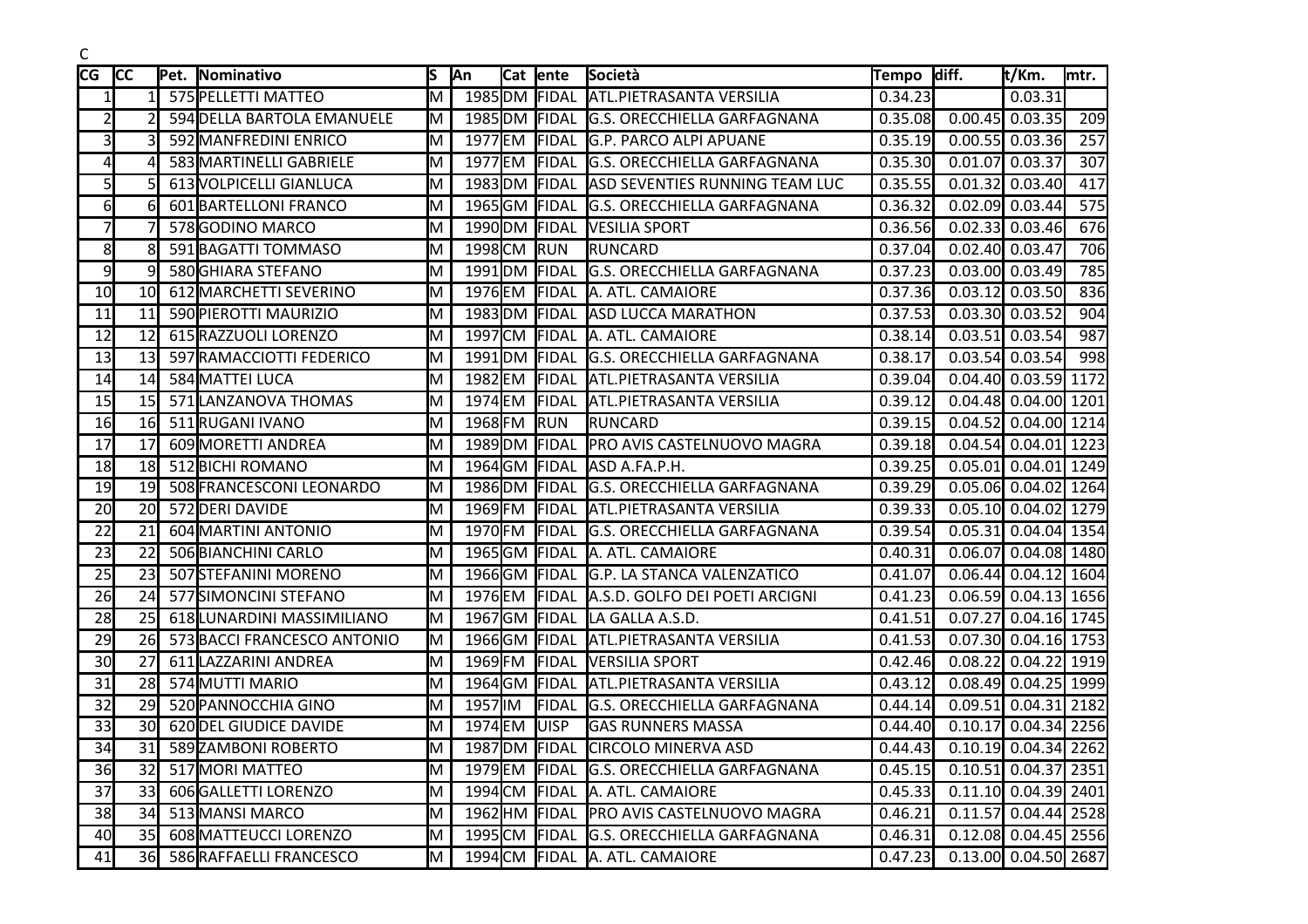| C              |                 |                             |      |           |               |                                           |         |         |                        |       |
|----------------|-----------------|-----------------------------|------|-----------|---------------|-------------------------------------------|---------|---------|------------------------|-------|
| <b>CG</b>      | <b>CC</b>       | Pet. Nominativo             | S    | <b>An</b> | Cat lente     | Società                                   | Tempo   | diff.   | t/Km.                  | lmtr. |
| 1              |                 | 575 PELLETTI MATTEO         | Iм   |           | 1985 DM FIDAL | <b>ATL.PIETRASANTA VERSILIA</b>           | 0.34.23 |         | 0.03.31                |       |
| $\overline{c}$ |                 | 594 DELLA BARTOLA EMANUELE  | lΜ   | 1985 DM   | FIDAL         | <b>G.S. ORECCHIELLA GARFAGNANA</b>        | 0.35.08 | 0.00.45 | 0.03.35                | 209   |
| 3              | 3               | 592 MANFREDINI ENRICO       | lΜ   | 1977EM    | FIDAL         | <b>G.P. PARCO ALPI APUANE</b>             | 0.35.19 | 0.00.55 | 0.03.36                | 257   |
| $\overline{a}$ | 4               | 583 MARTINELLI GABRIELE     | lм   | 1977 EM   | FIDAL         | G.S. ORECCHIELLA GARFAGNANA               | 0.35.30 |         | 0.01.07 0.03.37        | 307   |
| 5              | 5               | 613 VOLPICELLI GIANLUCA     | lΜ   | 1983 DM   | FIDAL         | ASD SEVENTIES RUNNING TEAM LUC            | 0.35.55 | 0.01.32 | 0.03.40                | 417   |
| 6              | 6               | 601 BARTELLONI FRANCO       | M    | 1965GM    | FIDAL         | <b>G.S. ORECCHIELLA GARFAGNANA</b>        | 0.36.32 |         | $0.02.09$ 0.03.44      | 575   |
| $\overline{7}$ |                 | 578 GODINO MARCO            | lм   |           | 1990 DM FIDAL | <b>VESILIA SPORT</b>                      | 0.36.56 |         | $0.02.33$ $0.03.46$    | 676   |
| 8              | 8               | 591 BAGATTI TOMMASO         | M    | 1998CM    | RUN           | RUNCARD                                   | 0.37.04 |         | 0.02.40 0.03.47        | 706   |
| 9              | 9               | 580 GHIARA STEFANO          | M    | 1991 DM   | FIDAL         | <b>G.S. ORECCHIELLA GARFAGNANA</b>        | 0.37.23 | 0.03.00 | 0.03.49                | 785   |
| 10             | 10              | 612 MARCHETTI SEVERINO      | lм   | 1976EM    | <b>IFIDAL</b> | A. ATL. CAMAIORE                          | 0.37.36 |         | $0.03.12$ 0.03.50      | 836   |
| 11             | 11              | 590 PIEROTTI MAURIZIO       | lΜ   | 1983 DM   | FIDAL         | <b>ASD LUCCA MARATHON</b>                 | 0.37.53 | 0.03.30 | 0.03.52                | 904   |
| 12             | 12              | 615 RAZZUOLI LORENZO        | M    | 1997 CM   | FIDAL         | A. ATL. CAMAIORE                          | 0.38.14 | 0.03.51 | 0.03.54                | 987   |
| 13             | 13              | 597 RAMACCIOTTI FEDERICO    | lΜ   |           | 1991 DM FIDAL | G.S. ORECCHIELLA GARFAGNANA               | 0.38.17 |         | $0.03.54$ 0.03.54      | 998   |
| 14             | 14              | 584 MATTEI LUCA             | lм   | 1982 EM   | FIDAL         | <b>ATL.PIETRASANTA VERSILIA</b>           | 0.39.04 | 0.04.40 | $0.03.59$ 1172         |       |
| 15             | 15              | 571 LANZANOVA THOMAS        | M    | 1974 EM   | FIDAL         | <b>ATL.PIETRASANTA VERSILIA</b>           | 0.39.12 |         | 0.04.48 0.04.00 1201   |       |
| 16             | 16              | 511 RUGANI IVANO            | lм   | 1968FM    | RUN           | RUNCARD                                   | 0.39.15 |         | 0.04.52 0.04.00 1214   |       |
| 17             | 17              | 609 MORETTI ANDREA          | lΜ   | 1989 DM   | FIDAL         | <b>PRO AVIS CASTELNUOVO MAGRA</b>         | 0.39.18 |         | $0.04.54$ 0.04.01 1223 |       |
| 18             | 18              | 512 BICHI ROMANO            | lΜ   | 1964GM    | FIDAL         | ASD A.FA.P.H.                             | 0.39.25 |         | $0.05.01$ 0.04.01 1249 |       |
| 19             | 19              | 508 FRANCESCONI LEONARDO    | IΜ   | 1986 DM   | FIDAL         | <b>G.S. ORECCHIELLA GARFAGNANA</b>        | 0.39.29 |         | $0.05.06$ 0.04.02 1264 |       |
| 20             | 20              | 572 DERI DAVIDE             | lм   | 1969FM    | FIDAL         | <b>ATL.PIETRASANTA VERSILIA</b>           | 0.39.33 |         | 0.05.10 0.04.02 1279   |       |
| 22             | 21              | 604 MARTINI ANTONIO         | M    | 1970 FM   | FIDAL         | <b>G.S. ORECCHIELLA GARFAGNANA</b>        | 0.39.54 |         | 0.05.31 0.04.04 1354   |       |
| 23             | 22              | 506 BIANCHINI CARLO         | lΜ   | 1965GM    | FIDAL         | A. ATL. CAMAIORE                          | 0.40.31 |         | 0.06.07 0.04.08 1480   |       |
| 25             | 23              | 507 STEFANINI MORENO        | lм   | 1966GM    | FIDAL         | <b>G.P. LA STANCA VALENZATICO</b>         | 0.41.07 |         | $0.06.44$ 0.04.12 1604 |       |
| 26             | 24              | 577 SIMONCINI STEFANO       | lΜ   | 1976EM    | FIDAL         | A.S.D. GOLFO DEI POETI ARCIGNI            | 0.41.23 |         | 0.06.59 0.04.13 1656   |       |
| 28             | 25              | 618 LUNARDINI MASSIMILIANO  | lΜ   | 1967GM    | FIDAL         | LA GALLA A.S.D.                           | 0.41.51 |         | 0.07.27 0.04.16 1745   |       |
| 29             | 26              | 573 BACCI FRANCESCO ANTONIO | M    | 1966GM    | FIDAL         | <b>ATL.PIETRASANTA VERSILIA</b>           | 0.41.53 |         | 0.07.30 0.04.16 1753   |       |
| 30             | 27              | 611 LAZZARINI ANDREA        | lΜ   | 1969 FM   | FIDAL         | <b>VERSILIA SPORT</b>                     | 0.42.46 | 0.08.22 | $0.04.22$ 1919         |       |
| 31             | 28              | 574 MUTTI MARIO             | lΜ   | 1964GM    | FIDAL         | <b>ATL.PIETRASANTA VERSILIA</b>           | 0.43.12 |         | 0.08.49 0.04.25 1999   |       |
| 32             | 29              | 520 PANNOCCHIA GINO         | M    | 1957IM    | <b>FIDAL</b>  | <b>G.S. ORECCHIELLA GARFAGNANA</b>        | 0.44.14 |         | $0.09.51$ 0.04.31 2182 |       |
| 33             | 30 <sup>l</sup> | 620 DEL GIUDICE DAVIDE      | M    | 1974 EM   | <b>UISP</b>   | <b>GAS RUNNERS MASSA</b>                  | 0.44.40 |         | 0.10.17 0.04.34 2256   |       |
| 34             | 31I             | 589 ZAMBONI ROBERTO         | IM I |           |               | 1987 DM FIDAL CIRCOLO MINERVA ASD         | 0.44.43 |         | $0.10.19$ 0.04.34 2262 |       |
| 36             | 32              | 517 MORI MATTEO             | lм   |           |               | 1979EM FIDAL G.S. ORECCHIELLA GARFAGNANA  | 0.45.15 |         | $0.10.51$ 0.04.37 2351 |       |
| 37             | 33 <sup>1</sup> | 606GALLETTI LORENZO         | M    |           |               | 1994 CM FIDAL A. ATL. CAMAIORE            | 0.45.33 |         | 0.11.10 0.04.39 2401   |       |
| 38             | 34              | 513 MANSI MARCO             | M    |           |               | 1962 HM FIDAL PRO AVIS CASTELNUOVO MAGRA  | 0.46.21 |         | 0.11.57 0.04.44 2528   |       |
| 40             | 35              | 608 MATTEUCCI LORENZO       | M    |           |               | 1995 CM FIDAL G.S. ORECCHIELLA GARFAGNANA | 0.46.31 |         | $0.12.08$ 0.04.45 2556 |       |
| 41             | 36              | 586 RAFFAELLI FRANCESCO     | M    |           |               | 1994 CM FIDAL A. ATL. CAMAIORE            | 0.47.23 |         | 0.13.00 0.04.50 2687   |       |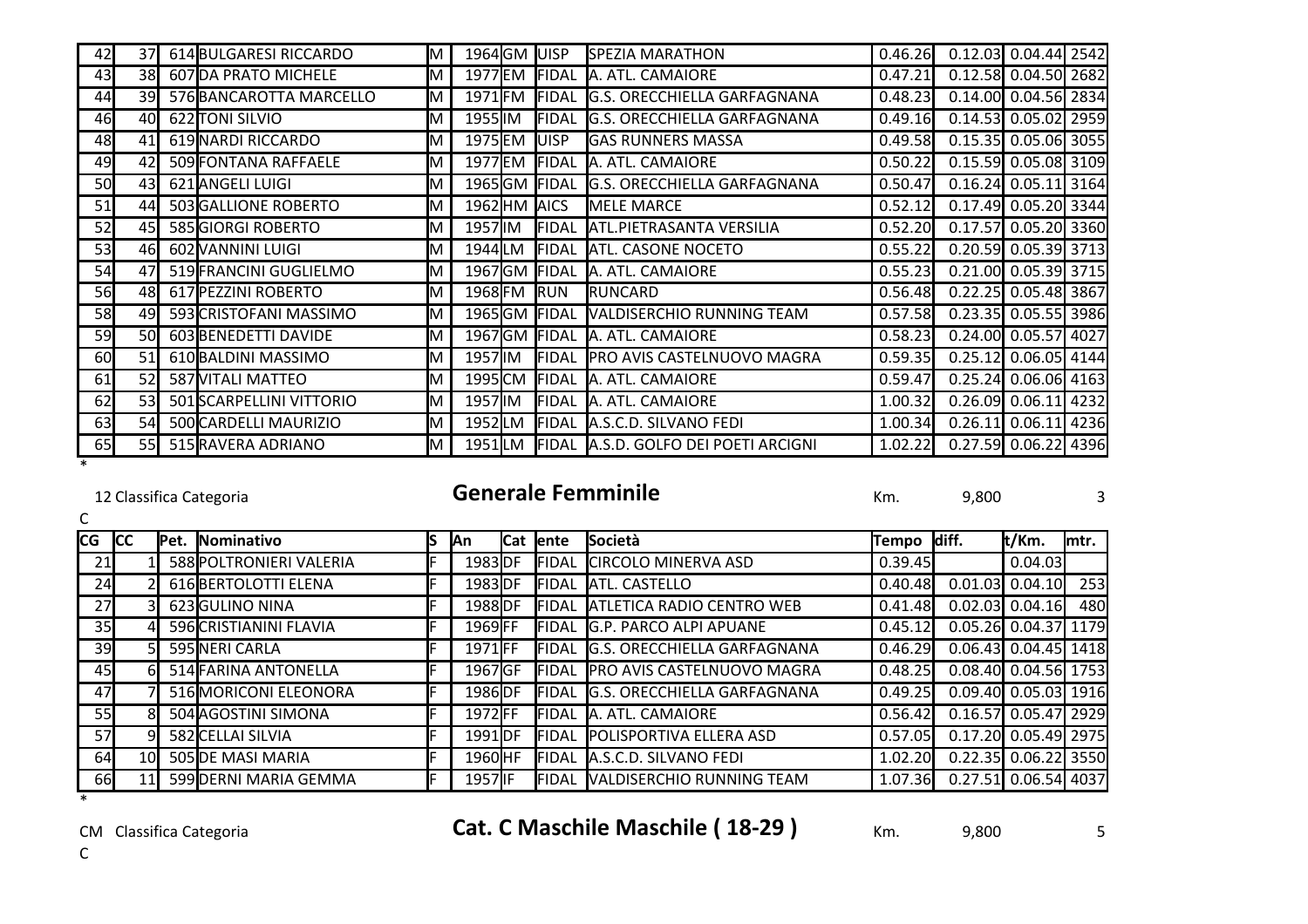| 42     | 37I             | 614 BULGARESI RICCARDO   | M  | 1964GM           | <b>JUISP</b> | <b>SPEZIA MARATHON</b>                           | 0.46.26 | 0.12.03 0.04.44 2542   |  |
|--------|-----------------|--------------------------|----|------------------|--------------|--------------------------------------------------|---------|------------------------|--|
| 43     | 38I             | 607 DA PRATO MICHELE     | Iм |                  |              | 1977EM FIDAL A. ATL. CAMAIORE                    | 0.47.21 | 0.12.58 0.04.50 2682   |  |
| 44     | 39I             | 576 BANCAROTTA MARCELLO  | lΜ | 1971 FM          |              | FIDAL G.S. ORECCHIELLA GARFAGNANA                | 0.48.23 | 0.14.00 0.04.56 2834   |  |
| 46     | 40I             | 622 TONI SILVIO          | IΜ | 1955 IM          |              | FIDAL G.S. ORECCHIELLA GARFAGNANA                | 0.49.16 | 0.14.53 0.05.02 2959   |  |
| 48     | 41I             | 619 NARDI RICCARDO       | IΜ | 1975 EM          | <b>UISP</b>  | <b>GAS RUNNERS MASSA</b>                         | 0.49.58 | 0.15.35 0.05.06 3055   |  |
| 49     | 42              | 509 FONTANA RAFFAELE     | IΜ | 1977 EM          | FIDAL        | A. ATL. CAMAIORE                                 | 0.50.22 | 0.15.59 0.05.08 3109   |  |
| 50l    | 43I             | 621 ANGELI LUIGI         | м  | 1965GM           |              | FIDAL G.S. ORECCHIELLA GARFAGNANA                | 0.50.47 | $0.16.24$ 0.05.11 3164 |  |
| 51     | 44              | 503 GALLIONE ROBERTO     | м  | 1962 HM AICS     |              | <b>MELE MARCE</b>                                | 0.52.12 | 0.17.49 0.05.20 3344   |  |
| 52     | 45I             | 585 GIORGI ROBERTO       | lΜ | 1957 <b> </b> IM | <b>FIDAL</b> | <b>JATL.PIETRASANTA VERSILIA</b>                 | 0.52.20 | 0.17.57 0.05.20 3360   |  |
| 53     | 46I             | 602 VANNINI LUIGI        | IΜ | 1944 LM          | <b>FIDAL</b> | <b>JATL. CASONE NOCETO</b>                       | 0.55.22 | 0.20.59 0.05.39 3713   |  |
| 54     | 47              | 519 FRANCINI GUGLIELMO   | IΜ |                  | 1967GM FIDAL | IA. ATL. CAMAIORE                                | 0.55.23 | 0.21.00 0.05.39 3715   |  |
| 56     | 48I             | 617 PEZZINI ROBERTO      | м  | 1968FM RUN       |              | RUNCARD                                          | 0.56.48 | 0.22.25 0.05.48 3867   |  |
| 58     | 49              | 593 CRISTOFANI MASSIMO   | IΜ | 1965GM           |              | <b>FIDAL VALDISERCHIO RUNNING TEAM</b>           | 0.57.58 | 0.23.35 0.05.55 3986   |  |
| 59     | 50 <b>I</b>     | 603 BENEDETTI DAVIDE     | IΜ |                  |              | 1967 GM FIDAL A. ATL. CAMAIORE                   | 0.58.23 | 0.24.00 0.05.57 4027   |  |
| 60     | 51              | 610 BALDINI MASSIMO      | IΜ | 1957 IM          |              | FIDAL PRO AVIS CASTELNUOVO MAGRA                 | 0.59.35 | $0.25.12$ 0.06.05 4144 |  |
| 61     | <b>52</b>       | 587 VITALI MATTEO        | IΜ | 1995 CM          |              | FIDAL A. ATL. CAMAIORE                           | 0.59.47 | $0.25.24$ 0.06.06 4163 |  |
| 62     | 53 <sup>l</sup> | 501 SCARPELLINI VITTORIO | M  | 1957 IM          |              | FIDAL A. ATL. CAMAIORE                           | 1.00.32 | $0.26.09$ 0.06.11 4232 |  |
| 63     | 54              | 500 CARDELLI MAURIZIO    | Iм | 1952LM           |              | FIDAL A.S.C.D. SILVANO FEDI                      | 1.00.34 | $0.26.11$ 0.06.11 4236 |  |
| 65     | 55I             | 515 RAVERA ADRIANO       | IΜ |                  |              | 1951 LM   FIDAL   A.S.D. GOLFO DEI POETI ARCIGNI | 1.02.22 | 0.27.59 0.06.22 4396   |  |
| $\ast$ |                 |                          |    |                  |              |                                                  |         |                        |  |

12 Classifica Categoria **Calle Femminile Generale Femminile Km.** 9,800 3

| CG | <b>ICC</b> | Pet. Nominativo         | S   | lAn             | Cat lente     | Società                            | Tempo   | diff. | t/Km.                  | mtr. |
|----|------------|-------------------------|-----|-----------------|---------------|------------------------------------|---------|-------|------------------------|------|
| 21 |            | 588 POLTRONIERI VALERIA | F   | 1983 <b>DF</b>  | FIDAL         | <b>CIRCOLO MINERVA ASD</b>         | 0.39.45 |       | 0.04.03                |      |
| 24 |            | 616 BERTOLOTTI ELENA    | F   | 1983 <b>IDF</b> | <b>IFIDAL</b> | <b>ATL. CASTELLO</b>               | 0.40.48 |       | $0.01.03$ 0.04.10      | 253  |
| 27 |            | 623 GULINO NINA         | F   | 1988 DF         | FIDAL         | <b>ATLETICA RADIO CENTRO WEB</b>   | 0.41.48 |       | $0.02.03$ 0.04.16      | 480  |
| 35 |            | 596 CRISTIANINI FLAVIA  | F.  | 1969 FF         | IFIDAL        | <b>G.P. PARCO ALPI APUANE</b>      | 0.45.12 |       | 0.05.26 0.04.37 1179   |      |
| 39 |            | 595 NERI CARLA          | E   | 1971 <b>FF</b>  | IFIDAL        | <b>G.S. ORECCHIELLA GARFAGNANA</b> | 0.46.29 |       | $0.06.43$ 0.04.45 1418 |      |
| 45 |            | 514 FARINA ANTONELLA    | F   | 1967 GF         | IFIDAL        | <b>JPRO AVIS CASTELNUOVO MAGRA</b> | 0.48.25 |       | 0.08.40 0.04.56 1753   |      |
| 47 |            | 516 MORICONI ELEONORA   | F   | 1986 DF         | FIDAL         | <b>G.S. ORECCHIELLA GARFAGNANA</b> | 0.49.25 |       | 0.09.40 0.05.03 1916   |      |
| 55 |            | 504 AGOSTINI SIMONA     | IF. | 1972 FF         | IFIDAL        | A. ATL. CAMAIORE                   | 0.56.42 |       | 0.16.57 0.05.47 2929   |      |
| 57 |            | 582 CELLAI SILVIA       | F   | 1991 DF         | IFIDAL        | <b>POLISPORTIVA ELLERA ASD</b>     | 0.57.05 |       | 0.17.20 0.05.49 2975   |      |
| 64 | 10I        | 505 DE MASI MARIA       | F   | 1960 HF         | <b>IFIDAL</b> | A.S.C.D. SILVANO FEDI              | 1.02.20 |       | 0.22.35 0.06.22 3550   |      |
| 66 | 11         | 599 DERNI MARIA GEMMA   | E   | 1957 IF         |               | FIDAL VALDISERCHIO RUNNING TEAM    | 1.07.36 |       | 0.27.51 0.06.54 4037   |      |
|    |            |                         |     |                 |               |                                    |         |       |                        |      |

CM Classifica Categoria **Cat. C Maschile Maschile (18-29)** Km. 9,800 5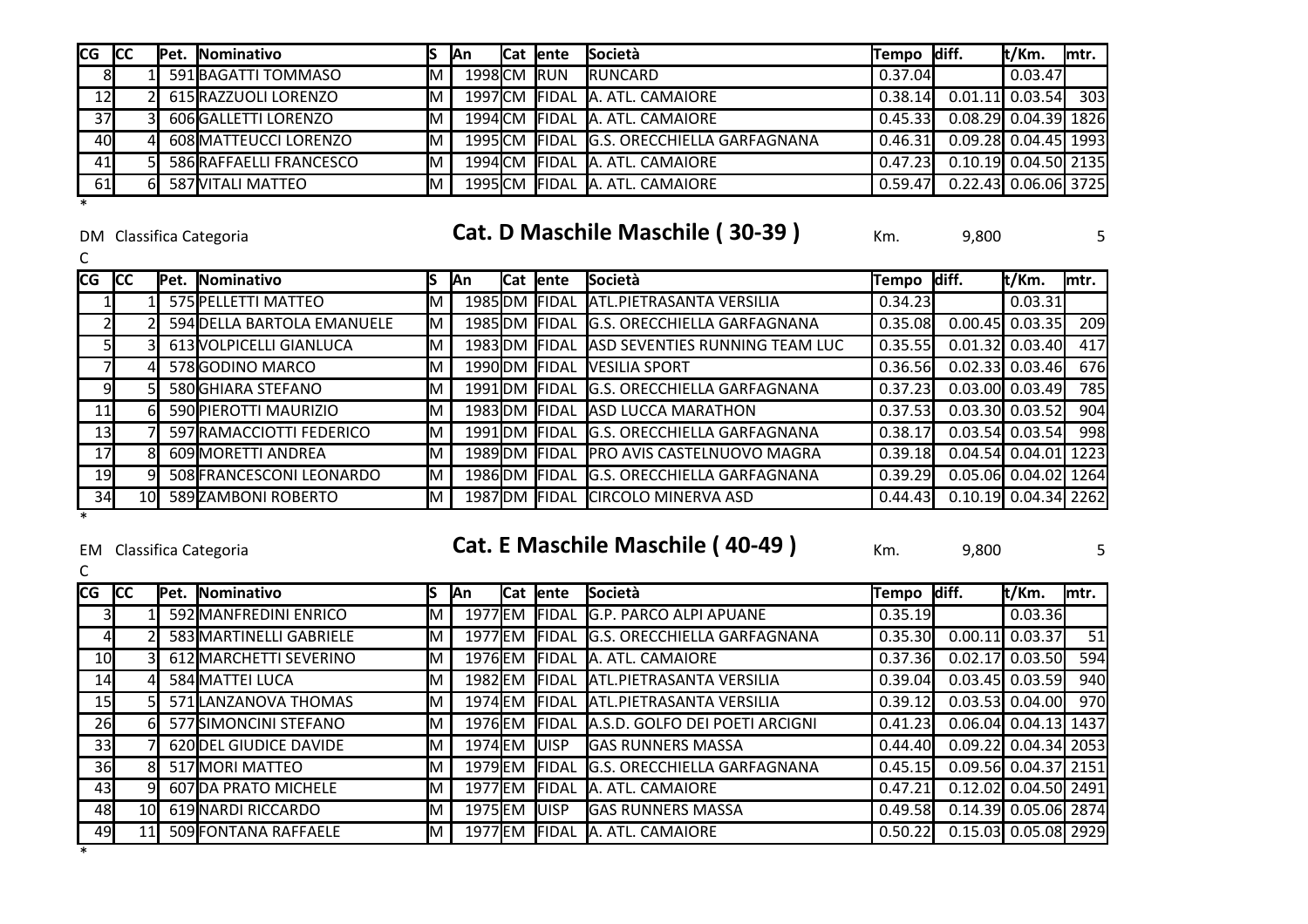| cg cc |  | Pet. Nominativo         |     | lAn | <b>ICat lente</b> | <b>Società</b>                            | Tempo diff. |                      | lt/Km.  | lmtr. |
|-------|--|-------------------------|-----|-----|-------------------|-------------------------------------------|-------------|----------------------|---------|-------|
| 8     |  | 591 BAGATTI TOMMASO     | IΜ  |     | 1998CM RUN        | <b>IRUNCARD</b>                           | 0.37.04     |                      | 0.03.47 |       |
| 12    |  | 615 RAZZUOLI LORENZO    | IΜ  |     |                   | 1997 CM FIDAL A. ATL. CAMAIORE            | 0.38.14     | $0.01.11$ $0.03.54$  |         | 303   |
| 37    |  | 606 GALLETTI LORENZO    | IΜ  |     |                   | 1994 CM FIDAL A. ATL. CAMAIORE            | 0.45.33     | 0.08.29 0.04.39 1826 |         |       |
| 40    |  | 608 MATTEUCCI LORENZO   | IM. |     |                   | 1995 CM FIDAL G.S. ORECCHIELLA GARFAGNANA | 0.46.31     | 0.09.28 0.04.45 1993 |         |       |
| 41    |  | 586 RAFFAELLI FRANCESCO | IΜ  |     |                   | 1994 CM FIDAL A. ATL. CAMAIORE            | 0.47.23     | 0.10.19 0.04.50 2135 |         |       |
| 61    |  | 587 VITALI MATTEO       | IΜ  |     |                   | 1995 CM FIDAL A. ATL. CAMAIORE            | 0.59.47     | 0.22.43 0.06.06 3725 |         |       |
|       |  |                         |     |     |                   |                                           |             |                      |         |       |

DM Classifica Categoria **Cat. D Maschile Maschile (30-39)** Km. 9,800 5

**CG CC Pet. Nominativo S An Cat ente Società Tempo diff. t/Km. mtr.** 1 1 575 PELLETTI MATTEO M 1985 DM FIDAL ATL.PIETRASANTA VERSILIA 0.34.23 0.03.31 2 594 DELLA BARTOLA EMANUELE M 1985 DM FIDAL G.S. ORECCHIELLA GARFAGNANA (0.35.08 0.00.45 0.03.35 209 3 613 VOLPICELLI GIANLUCA M 1983 DM FIDAL ASD SEVENTIES RUNNING TEAM LUC 0.35.55 0.01.32 0.03.40 417 7 4 578 GODINO MARCO M 1990 DM FIDAL VESILIA SPORT 0.36.56 0.02.33 0.03.46 676 5 580 GHIARA STEFANO M | 1991 DM FIDAL G.S. ORECCHIELLA GARFAGNANA | 0.37.23 0.03.00 0.03.49 785 11 6 590 PIEROTTI MAURIZIO M | 1983 DM FIDAL ASD LUCCA MARATHON | 0.37.53 0.03.30 0.03.52 904 13 7 597 RAMACCIOTTI FEDERICO M 1991 DM FIDAL G.S. ORECCHIELLA GARFAGNANA 0.38.17 0.03.54 0.03.54 998 17 8 609 MORETTI ANDREA M 1989 DM FIDAL PRO AVIS CASTELNUOVO MAGRA 0.39.18 0.04.54 0.04.01 1223 19 9 508 FRANCESCONI LEONARDO M 1986 DM FIDAL G.S. ORECCHIELLA GARFAGNANA 0.39.29 0.05.06 0.04.02 1264 34 10 589 ZAMBONI ROBERTO M 1987 DM FIDAL CIRCOLO MINERVA ASD 0.44.43 0.10.19 0.04.34 2262

\*

 $\mathsf{C}$ 

C

\*

|  | <b>EM</b> Classifica Categoria | Cat. E Maschile Maschile (40-49) |  | Km. | 9.800 |  |
|--|--------------------------------|----------------------------------|--|-----|-------|--|
|--|--------------------------------|----------------------------------|--|-----|-------|--|

| <b>CG</b>       | <b>ICC</b> | Pet. Nominativo         |    | <b>JAn</b> | Cat ente      | Società                                     | Tempo diff. | t/Km.                | mtr. |
|-----------------|------------|-------------------------|----|------------|---------------|---------------------------------------------|-------------|----------------------|------|
| 31              |            | 592 MANFREDINI ENRICO   | M  |            | 1977EM FIDAL  | <b>G.P. PARCO ALPI APUANE</b>               | 0.35.19     | 0.03.36              |      |
| 41              |            | 583 MARTINELLI GABRIELE | M  |            | 1977EM FIDAL  | G.S. ORECCHIELLA GARFAGNANA                 | 0.35.30     | $0.00.11$ 0.03.37    | 51   |
| 10              |            | 612 MARCHETTI SEVERINO  | M  |            |               | 1976 EM FIDAL A. ATL. CAMAIORE              | 0.37.36     | $0.02.17$ 0.03.50    | 594  |
| 14              |            | 584 MATTEI LUCA         | м  |            | 1982 EM FIDAL | ATL.PIETRASANTA VERSILIA                    | 0.39.04     | $0.03.45$ 0.03.59    | 940  |
| 15 <sup>1</sup> |            | 571 LANZANOVA THOMAS    | IΜ |            | 1974 EM FIDAL | <b>ATL.PIETRASANTA VERSILIA</b>             | 0.39.12     | $0.03.53$ 0.04.00    | 970  |
| 26              |            | 577 SIMONCINI STEFANO   | M  |            |               | 1976EM FIDAL A.S.D. GOLFO DEI POETI ARCIGNI | 0.41.23     | 0.06.04 0.04.13 1437 |      |
| 33              |            | 620 DEL GIUDICE DAVIDE  | M  |            | 1974EM UISP   | <b>GAS RUNNERS MASSA</b>                    | 0.44.40     | 0.09.22 0.04.34 2053 |      |
| 36              |            | 517 MORI MATTEO         | M  |            | 1979EM FIDAL  | <b>G.S. ORECCHIELLA GARFAGNANA</b>          | 0.45.15     | 0.09.56 0.04.37 2151 |      |
| 43              |            | 607 DA PRATO MICHELE    | IΜ |            | 1977 EM FIDAL | IA. ATL. CAMAIORE                           | 0.47.21     | 0.12.02 0.04.50 2491 |      |
| 48              | 10I        | 619 NARDI RICCARDO      | lм |            | 1975EM JUISP  | <b>GAS RUNNERS MASSA</b>                    | 0.49.58     | 0.14.39 0.05.06 2874 |      |
| 49              |            | 509 FONTANA RAFFAELE    | ΙM |            | 1977 EM FIDAL | <b>JA. ATL. CAMAIORE</b>                    | 0.50.22     | 0.15.03 0.05.08 2929 |      |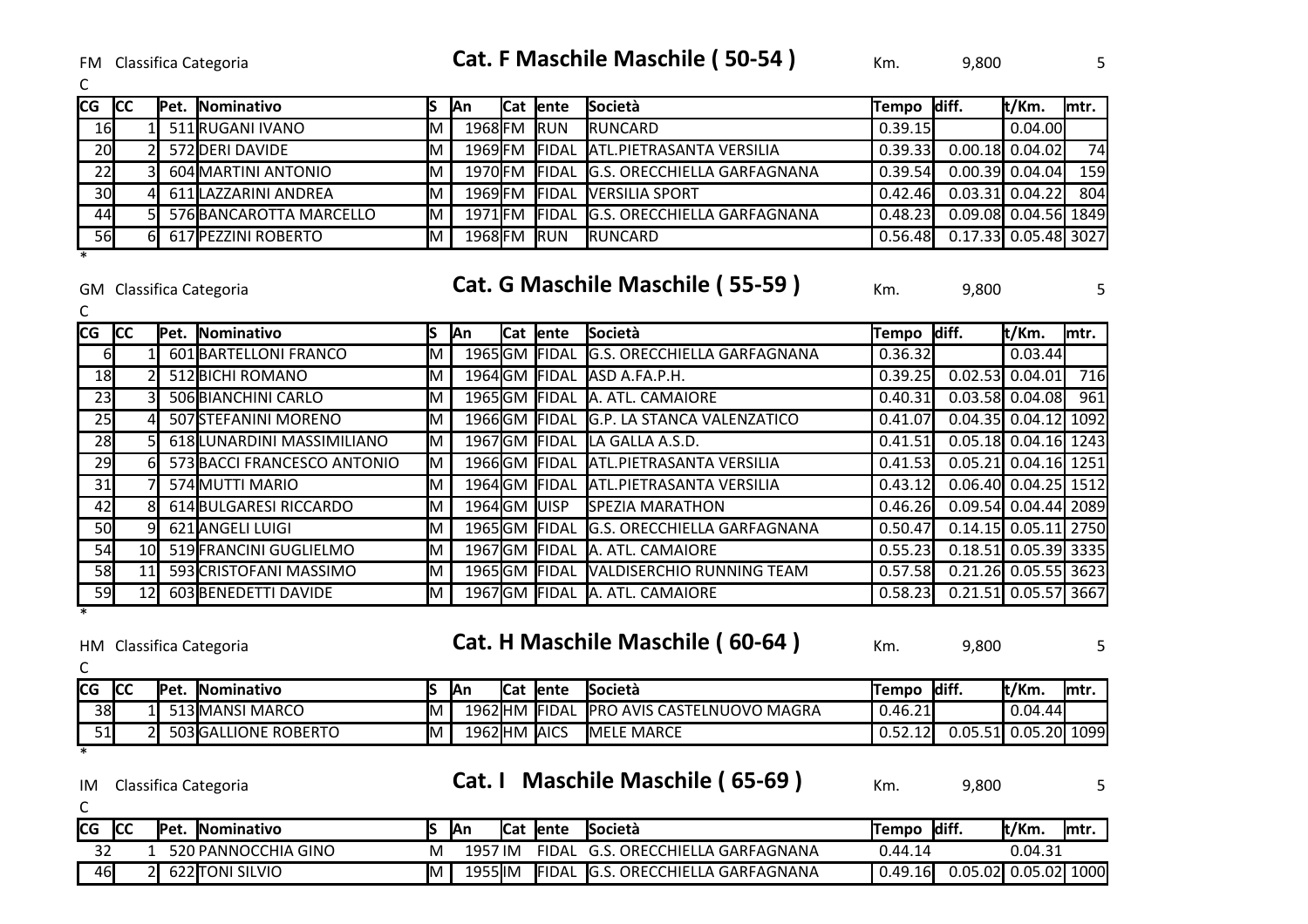C

 $\mathsf{C}$ 

FM Classifica Categoria **Cat. F Maschile Maschile (50-54)** Km. 9,800 5

| CG              | <b>ICC</b> | <b>Pet. Nominativo</b>  |      | <b>IAn</b> | <b>ICat lente</b> | <b>Società</b>                            | Tempo diff. |                        | lt/Km.  | lmtr. |
|-----------------|------------|-------------------------|------|------------|-------------------|-------------------------------------------|-------------|------------------------|---------|-------|
| 16I             |            | 511 RUGANI IVANO        | Iм   |            | 1968FM RUN        | <b>IRUNCARD</b>                           | 0.39.15     |                        | 0.04.00 |       |
| 20              |            | 572 DERI DAVIDE         | Iм   |            |                   | 1969 FM FIDAL ATL. PIETRASANTA VERSILIA   | 0.39.33     | $0.00.18$ 0.04.02      |         | 74    |
| 22              |            | 604 MARTINI ANTONIO     | IM.  |            |                   | 1970 FM FIDAL G.S. ORECCHIELLA GARFAGNANA | 0.39.54     | $0.00.39$ 0.04.04      |         | 159   |
| 30 <sup>l</sup> |            | 611 LAZZARINI ANDREA    | IM.  |            |                   | 1969 FM FIDAL VERSILIA SPORT              | 0.42.46     | $0.03.31$ 0.04.22      |         | 804   |
| 44              |            | 576 BANCAROTTA MARCELLO | IM I |            |                   | 1971 FM FIDAL G.S. ORECCHIELLA GARFAGNANA | 0.48.23     | 0.09.08 0.04.56 1849   |         |       |
| 56              |            | 617 PEZZINI ROBERTO     | IM.  |            | 1968FM RUN        | <b>IRUNCARD</b>                           | 0.56.48     | $0.17.33$ 0.05.48 3027 |         |       |
|                 |            |                         |      |            |                   |                                           |             |                        |         |       |

GM Classifica Categoria **Cat. G Maschile Maschile (55-59)** Km. 9,800 5

**CG CC Pet. Nominativo S An Cat ente Società Tempo diff. t/Km. mtr.** 601 BARTELLONI FRANCO M | 1965 GM FIDAL G.S. ORECCHIELLA GARFAGNANA | 0.36.32 0.03.44 18 2 512 BICHI ROMANO M M 1964 GM FIDAL ASD A.FA.P.H. 0.39.25 0.02.53 0.04.01 716 23 3 506 BIANCHINI CARLO M 1965 GM FIDAL A. ATL. CAMAIORE 0.40.31 0.03.58 0.04.08 961 25 4 507 STEFANINI MORENO M | 1966 GM FIDAL G.P. LA STANCA VALENZATICO | 0.41.07 0.04.35 0.04.12 1092 28 5 618 LUNARDINI MASSIMILIANO M 1967 GM FIDAL LA GALLA A.S.D. 0.41.51 0.05.18 0.04.16 1243 29 6 573 BACCI FRANCESCO ANTONIO M 1966 GM FIDAL ATL.PIETRASANTA VERSILIA 0.41.53 0.05.21 0.04.16 1251 31 7 574 MUTTI MARIO M 1964 GM FIDAL ATL.PIETRASANTA VERSILIA 0.43.12 0.06.40 0.04.25 1512 42 8 614 BULGARESI RICCARDO M 1964 GM UISP SPEZIA MARATHON 0.46.26 0.09.54 0.04.44 2089 50 9 621 ANGELI LUIGI M 1965 GM FIDAL G.S. ORECCHIELLA GARFAGNANA 0.50.47 0.14.15 0.05.11 2750 54 10 519 FRANCINI GUGLIELMO M 1967 GM FIDAL A. ATL. CAMAIORE 0.55.23 0.18.51 0.05.39 3335 58 11 593 CRISTOFANI MASSIMO M 1965 GM FIDAL VALDISERCHIO RUNNING TEAM 0.57.58 0.21.26 0.05.55 3623 59 12 603 BENEDETTI DAVIDE M 1967 GM FIDAL A. ATL. CAMAIORE 0.58.23 0.21.51 0.05.57 3667

### HM Classifica Categoria **Cat. H Maschile Maschile ( 60-64 )** Km. 9,800 5

C

\*

**CG CC Pet. Nominativo S An Cat ente Società Tempo diff. t/Km. mtr.** 38 1 513 MANSI MARCO M 1962 HM FIDAL PRO AVIS CASTELNUOVO MAGRA 0.46.21 0.04.44 51 2 503 GALLIONE ROBERTO M | 1962 HM AICS MELE MARCE | 0.52.12 0.05.51 0.05.20 1099

IM Classifica Categoria **Cat. I Maschile Maschile (65-69)** Km. 9,800 5

C

\*

| <b>CG</b> | <b>ICC</b> | IPet. | <b>Nominativo</b>   |    | <b>IAn</b> | <b>Cat lente</b> | <b>Società</b>                     | lTempo  | diff. | lt/Km.               | Imti |
|-----------|------------|-------|---------------------|----|------------|------------------|------------------------------------|---------|-------|----------------------|------|
| 32        |            |       | 520 PANNOCCHIA GINO | M  | 1957 IM    | <b>FIDAL</b>     | G.S. ORECCHIELLA GARFAGNANA        | 44.14.د |       | 0.04.31              |      |
| 46        |            |       | 622 TONI SILVIO     | ΙM | 1955 IM    | <b>IFIDAL</b>    | S. ORECCHIELLA GARFAGNANA<br>IG.S. | 0.49.16 |       | 0.05.02 0.05.02 1000 |      |